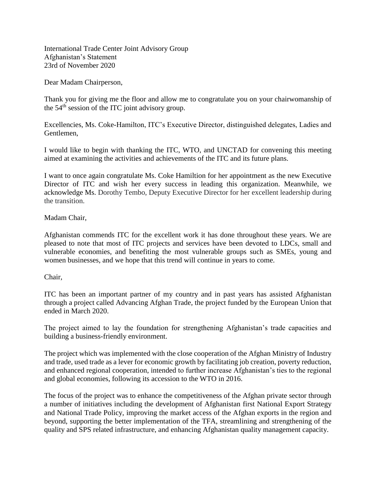International Trade Center Joint Advisory Group Afghanistan's Statement 23rd of November 2020

Dear Madam Chairperson,

Thank you for giving me the floor and allow me to congratulate you on your chairwomanship of the  $54<sup>th</sup>$  session of the ITC joint advisory group.

Excellencies, Ms. Coke-Hamilton, ITC's Executive Director, distinguished delegates, Ladies and Gentlemen,

I would like to begin with thanking the ITC, WTO, and UNCTAD for convening this meeting aimed at examining the activities and achievements of the ITC and its future plans.

I want to once again congratulate Ms. Coke Hamiltion for her appointment as the new Executive Director of ITC and wish her every success in leading this organization. Meanwhile, we acknowledge Ms. Dorothy Tembo, Deputy Executive Director for her excellent leadership during the transition.

Madam Chair,

Afghanistan commends ITC for the excellent work it has done throughout these years. We are pleased to note that most of ITC projects and services have been devoted to LDCs, small and vulnerable economies, and benefiting the most vulnerable groups such as SMEs, young and women businesses, and we hope that this trend will continue in years to come.

## Chair,

ITC has been an important partner of my country and in past years has assisted Afghanistan through a project called Advancing Afghan Trade, the project funded by the European Union that ended in March 2020.

The project aimed to lay the foundation for strengthening Afghanistan's trade capacities and building a business-friendly environment.

The project which was implemented with the close cooperation of the Afghan Ministry of Industry and trade, used trade as a lever for economic growth by facilitating job creation, poverty reduction, and enhanced regional cooperation, intended to further increase Afghanistan's ties to the regional and global economies, following its accession to the WTO in 2016.

The focus of the project was to enhance the competitiveness of the Afghan private sector through a number of initiatives including the development of Afghanistan first National Export Strategy and National Trade Policy, improving the market access of the Afghan exports in the region and beyond, supporting the better implementation of the TFA, streamlining and strengthening of the quality and SPS related infrastructure, and enhancing Afghanistan quality management capacity.